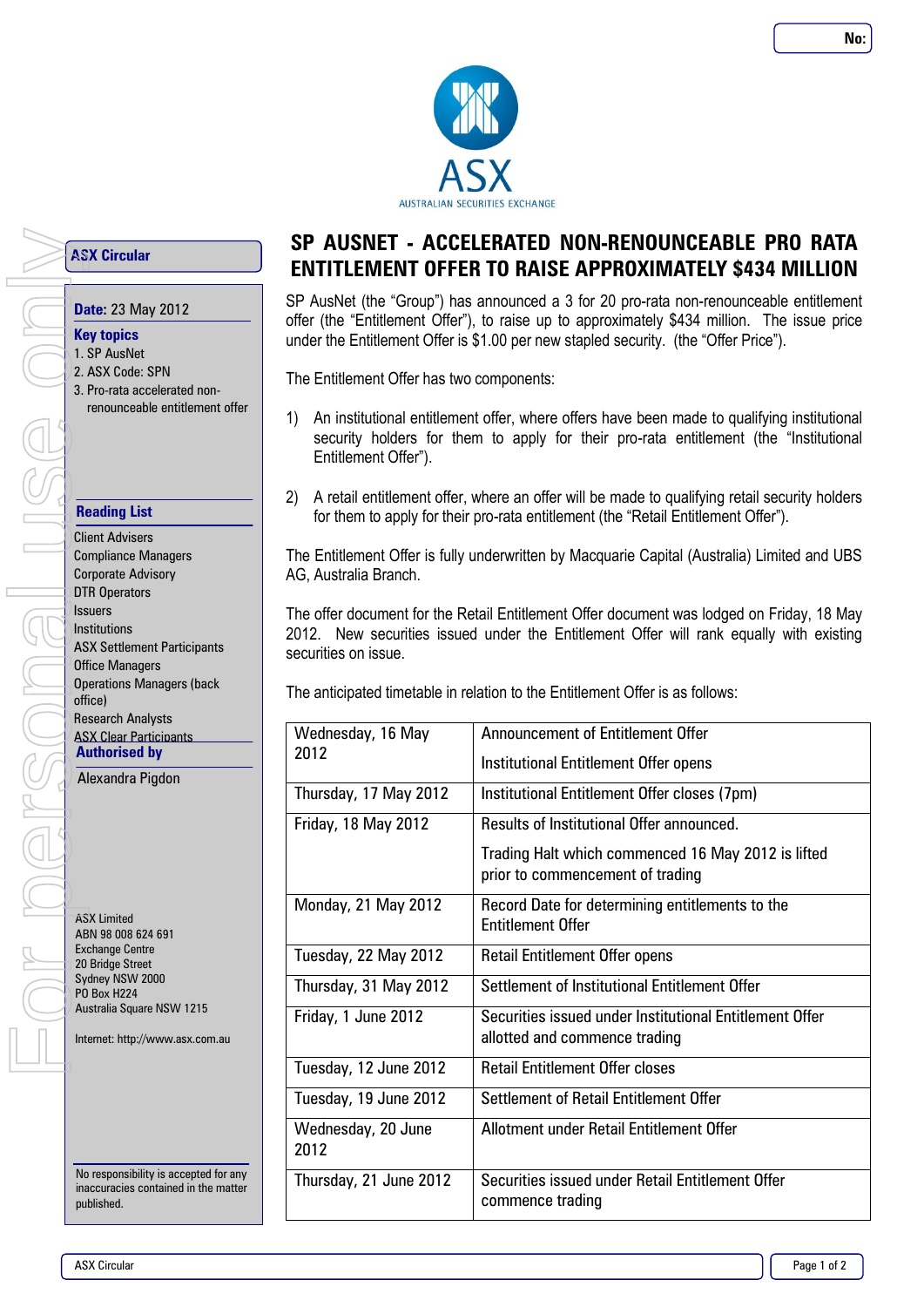

**ASX Circular**

## **Date:** 23 May 2012

## **Key topics**

- 1. SP AusNet
- 2. ASX Code: SPN
- 3. Pro-rata accelerated nonrenounceable entitlement offer

## **Reading List**

Client Advisers Compliance Managers Corporate Advisory DTR Operators Issuers Institutions ASX Settlement Participants Office Managers Operations Managers (back office) Research Analysts **ASX Clear Participants Authorised by ASX Circular**<br> **AUTER AUTREX COMPUTER AND REVENUES 1.5P AusNet**<br>
2. ASX Code: SP<br>
3. Pro-rata accelerenounceable<br>
renounceable<br>
renounceable<br>
renounceable<br>
renounceable<br>
From Bourge only and Corporate Advisers<br>
Lightness

Alexandra Pigdon

ASX Limited ABN 98 008 624 691 Exchange Centre 20 Bridge Street Sydney NSW 2000 PO Box H224 Australia Square NSW 1215

Internet: http://www.asx.com.au

No responsibility is accepted for any inaccuracies contained in the matter published.

# **SP AUSNET - ACCELERATED NON-RENOUNCEABLE PRO RATA ENTITLEMENT OFFER TO RAISE APPROXIMATELY \$434 MILLION**

SP AusNet (the "Group") has announced a 3 for 20 pro-rata non-renounceable entitlement offer (the "Entitlement Offer"), to raise up to approximately \$434 million. The issue price under the Entitlement Offer is \$1.00 per new stapled security. (the "Offer Price").

The Entitlement Offer has two components:

- 1) An institutional entitlement offer, where offers have been made to qualifying institutional security holders for them to apply for their pro-rata entitlement (the "Institutional Entitlement Offer").
- 2) A retail entitlement offer, where an offer will be made to qualifying retail security holders for them to apply for their pro-rata entitlement (the "Retail Entitlement Offer").

The Entitlement Offer is fully underwritten by Macquarie Capital (Australia) Limited and UBS AG, Australia Branch.

The offer document for the Retail Entitlement Offer document was lodged on Friday, 18 May 2012. New securities issued under the Entitlement Offer will rank equally with existing securities on issue.

The anticipated timetable in relation to the Entitlement Offer is as follows:

| Wednesday, 16 May           | Announcement of Entitlement Offer                                                        |
|-----------------------------|------------------------------------------------------------------------------------------|
| 2012                        | Institutional Entitlement Offer opens                                                    |
| Thursday, 17 May 2012       | Institutional Entitlement Offer closes (7pm)                                             |
| <b>Friday, 18 May 2012</b>  | Results of Institutional Offer announced.                                                |
|                             | Trading Halt which commenced 16 May 2012 is lifted<br>prior to commencement of trading   |
| Monday, 21 May 2012         | Record Date for determining entitlements to the<br><b>Entitlement Offer</b>              |
| <b>Tuesday, 22 May 2012</b> | <b>Retail Entitlement Offer opens</b>                                                    |
| Thursday, 31 May 2012       | Settlement of Institutional Entitlement Offer                                            |
| Friday, 1 June 2012         | Securities issued under Institutional Entitlement Offer<br>allotted and commence trading |
| Tuesday, 12 June 2012       | <b>Retail Entitlement Offer closes</b>                                                   |
| Tuesday, 19 June 2012       | Settlement of Retail Entitlement Offer                                                   |
| Wednesday, 20 June<br>2012  | Allotment under Retail Entitlement Offer                                                 |
| Thursday, 21 June 2012      | Securities issued under Retail Entitlement Offer<br>commence trading                     |